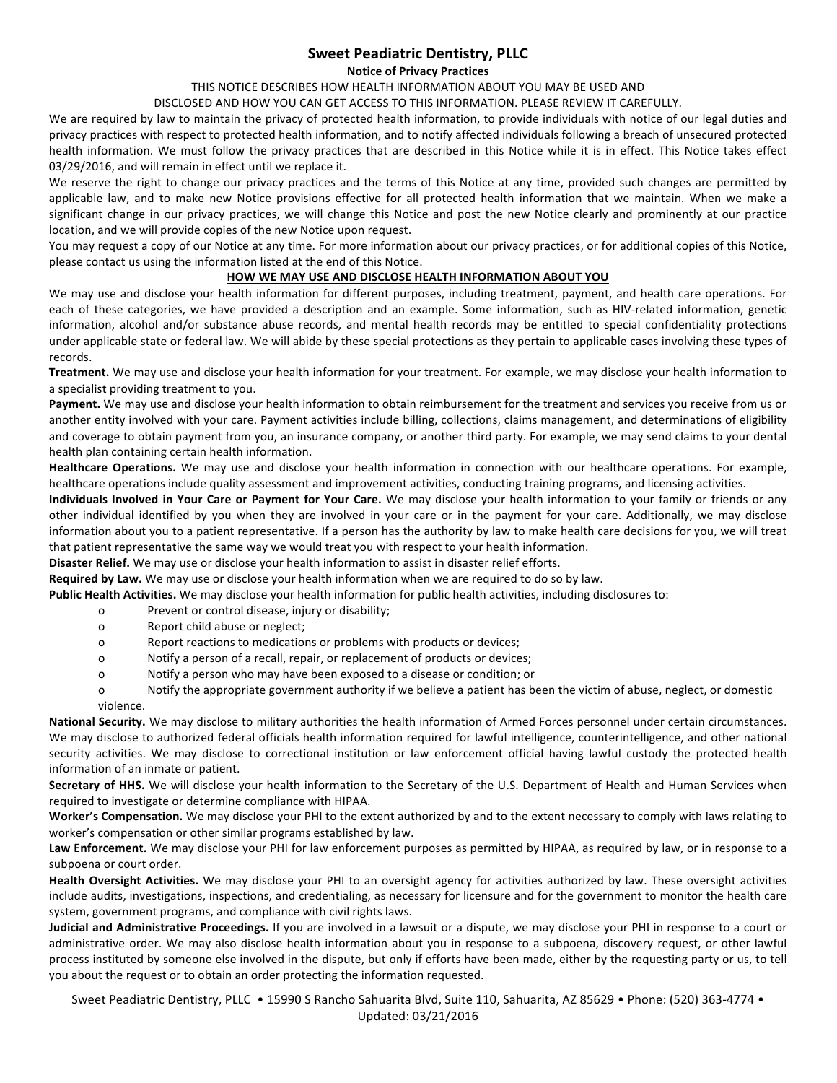**Notice of Privacy Practices**

THIS NOTICE DESCRIBES HOW HEALTH INFORMATION ABOUT YOU MAY BE USED AND

DISCLOSED AND HOW YOU CAN GET ACCESS TO THIS INFORMATION. PLEASE REVIEW IT CAREFULLY.

We are required by law to maintain the privacy of protected health information, to provide individuals with notice of our legal duties and privacy practices with respect to protected health information, and to notify affected individuals following a breach of unsecured protected health information. We must follow the privacy practices that are described in this Notice while it is in effect. This Notice takes effect 03/29/2016, and will remain in effect until we replace it.

We reserve the right to change our privacy practices and the terms of this Notice at any time, provided such changes are permitted by applicable law, and to make new Notice provisions effective for all protected health information that we maintain. When we make a significant change in our privacy practices, we will change this Notice and post the new Notice clearly and prominently at our practice location, and we will provide copies of the new Notice upon request.

You may request a copy of our Notice at any time. For more information about our privacy practices, or for additional copies of this Notice, please contact us using the information listed at the end of this Notice.

## HOW WE MAY USE AND DISCLOSE HEALTH INFORMATION ABOUT YOU

We may use and disclose your health information for different purposes, including treatment, payment, and health care operations. For each of these categories, we have provided a description and an example. Some information, such as HIV-related information, genetic information, alcohol and/or substance abuse records, and mental health records may be entitled to special confidentiality protections under applicable state or federal law. We will abide by these special protections as they pertain to applicable cases involving these types of records. 

**Treatment.** We may use and disclose your health information for your treatment. For example, we may disclose your health information to a specialist providing treatment to you.

Payment. We may use and disclose your health information to obtain reimbursement for the treatment and services you receive from us or another entity involved with your care. Payment activities include billing, collections, claims management, and determinations of eligibility and coverage to obtain payment from you, an insurance company, or another third party. For example, we may send claims to your dental health plan containing certain health information.

Healthcare Operations. We may use and disclose your health information in connection with our healthcare operations. For example, healthcare operations include quality assessment and improvement activities, conducting training programs, and licensing activities.

Individuals Involved in Your Care or Payment for Your Care. We may disclose your health information to your family or friends or any other individual identified by you when they are involved in your care or in the payment for your care. Additionally, we may disclose information about you to a patient representative. If a person has the authority by law to make health care decisions for you, we will treat that patient representative the same way we would treat you with respect to your health information.

**Disaster Relief.** We may use or disclose your health information to assist in disaster relief efforts.

Required by Law. We may use or disclose your health information when we are required to do so by law.

Public Health Activities. We may disclose your health information for public health activities, including disclosures to:

- o Prevent or control disease, injury or disability;
- o Report child abuse or neglect;
- o Report reactions to medications or problems with products or devices;
- o Notify a person of a recall, repair, or replacement of products or devices;
- o Notify a person who may have been exposed to a disease or condition; or
- o Notify the appropriate government authority if we believe a patient has been the victim of abuse, neglect, or domestic violence.

National Security. We may disclose to military authorities the health information of Armed Forces personnel under certain circumstances. We may disclose to authorized federal officials health information required for lawful intelligence, counterintelligence, and other national security activities. We may disclose to correctional institution or law enforcement official having lawful custody the protected health information of an inmate or patient.

**Secretary of HHS.** We will disclose your health information to the Secretary of the U.S. Department of Health and Human Services when required to investigate or determine compliance with HIPAA.

**Worker's Compensation.** We may disclose your PHI to the extent authorized by and to the extent necessary to comply with laws relating to worker's compensation or other similar programs established by law.

Law Enforcement. We may disclose your PHI for law enforcement purposes as permitted by HIPAA, as required by law, or in response to a subpoena or court order.

Health Oversight Activities. We may disclose your PHI to an oversight agency for activities authorized by law. These oversight activities include audits, investigations, inspections, and credentialing, as necessary for licensure and for the government to monitor the health care system, government programs, and compliance with civil rights laws.

**Judicial and Administrative Proceedings.** If you are involved in a lawsuit or a dispute, we may disclose your PHI in response to a court or administrative order. We may also disclose health information about you in response to a subpoena, discovery request, or other lawful process instituted by someone else involved in the dispute, but only if efforts have been made, either by the requesting party or us, to tell you about the request or to obtain an order protecting the information requested.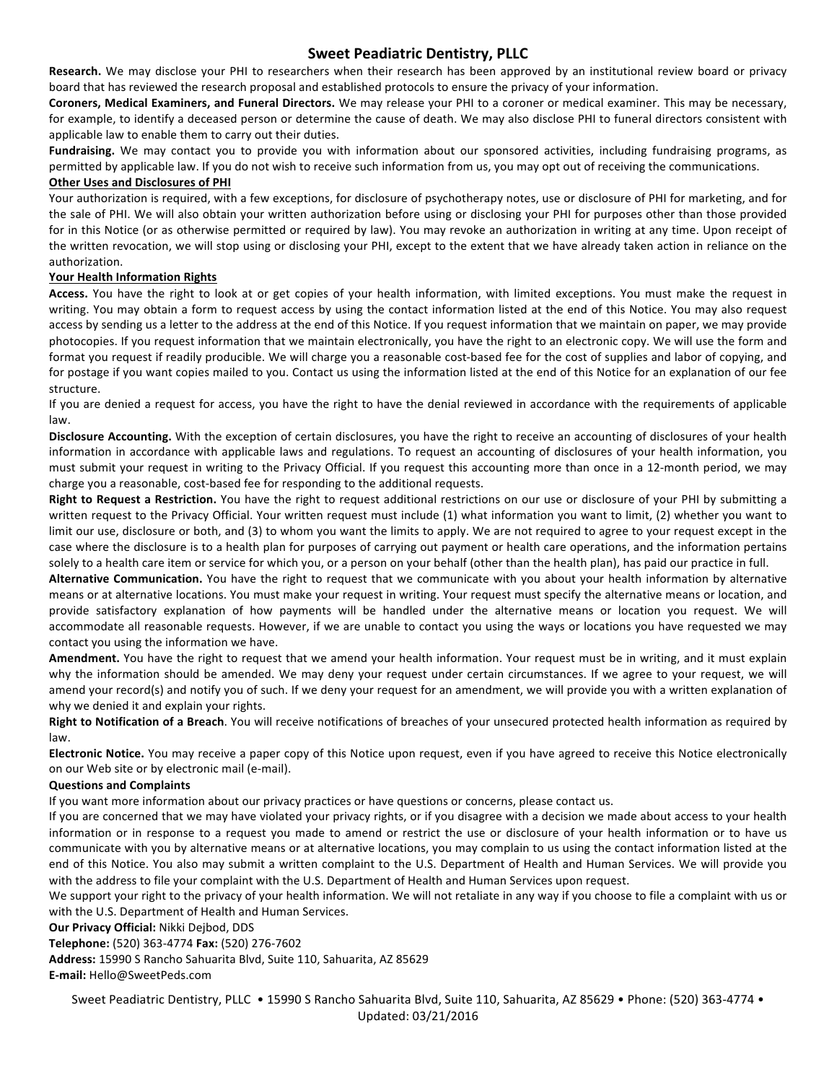**Research.** We may disclose your PHI to researchers when their research has been approved by an institutional review board or privacy board that has reviewed the research proposal and established protocols to ensure the privacy of your information.

**Coroners, Medical Examiners, and Funeral Directors.** We may release your PHI to a coroner or medical examiner. This may be necessary, for example, to identify a deceased person or determine the cause of death. We may also disclose PHI to funeral directors consistent with applicable law to enable them to carry out their duties.

Fundraising. We may contact you to provide you with information about our sponsored activities, including fundraising programs, as permitted by applicable law. If you do not wish to receive such information from us, you may opt out of receiving the communications.

## **Other Uses and Disclosures of PHI**

Your authorization is required, with a few exceptions, for disclosure of psychotherapy notes, use or disclosure of PHI for marketing, and for the sale of PHI. We will also obtain your written authorization before using or disclosing your PHI for purposes other than those provided for in this Notice (or as otherwise permitted or required by law). You may revoke an authorization in writing at any time. Upon receipt of the written revocation, we will stop using or disclosing your PHI, except to the extent that we have already taken action in reliance on the authorization.

## Your Health Information Rights

Access. You have the right to look at or get copies of your health information, with limited exceptions. You must make the request in writing. You may obtain a form to request access by using the contact information listed at the end of this Notice. You may also request access by sending us a letter to the address at the end of this Notice. If you request information that we maintain on paper, we may provide photocopies. If you request information that we maintain electronically, you have the right to an electronic copy. We will use the form and format you request if readily producible. We will charge you a reasonable cost-based fee for the cost of supplies and labor of copying, and for postage if you want copies mailed to you. Contact us using the information listed at the end of this Notice for an explanation of our fee structure.

If you are denied a request for access, you have the right to have the denial reviewed in accordance with the requirements of applicable law.

Disclosure Accounting. With the exception of certain disclosures, you have the right to receive an accounting of disclosures of your health information in accordance with applicable laws and regulations. To request an accounting of disclosures of your health information, you must submit your request in writing to the Privacy Official. If you request this accounting more than once in a 12-month period, we may charge you a reasonable, cost-based fee for responding to the additional requests.

Right to Request a Restriction. You have the right to request additional restrictions on our use or disclosure of your PHI by submitting a written request to the Privacy Official. Your written request must include (1) what information you want to limit, (2) whether you want to limit our use, disclosure or both, and (3) to whom you want the limits to apply. We are not required to agree to your request except in the case where the disclosure is to a health plan for purposes of carrying out payment or health care operations, and the information pertains solely to a health care item or service for which you, or a person on your behalf (other than the health plan), has paid our practice in full.

Alternative Communication. You have the right to request that we communicate with you about your health information by alternative means or at alternative locations. You must make your request in writing. Your request must specify the alternative means or location, and provide satisfactory explanation of how payments will be handled under the alternative means or location you request. We will accommodate all reasonable requests. However, if we are unable to contact you using the ways or locations you have requested we may contact you using the information we have.

Amendment. You have the right to request that we amend your health information. Your request must be in writing, and it must explain why the information should be amended. We may deny your request under certain circumstances. If we agree to your request, we will amend your record(s) and notify you of such. If we deny your request for an amendment, we will provide you with a written explanation of why we denied it and explain your rights.

Right to Notification of a Breach. You will receive notifications of breaches of your unsecured protected health information as required by law. 

**Electronic Notice.** You may receive a paper copy of this Notice upon request, even if you have agreed to receive this Notice electronically on our Web site or by electronic mail (e-mail).

## **Questions and Complaints**

If you want more information about our privacy practices or have questions or concerns, please contact us.

If you are concerned that we may have violated your privacy rights, or if you disagree with a decision we made about access to your health information or in response to a request you made to amend or restrict the use or disclosure of your health information or to have us communicate with you by alternative means or at alternative locations, you may complain to us using the contact information listed at the end of this Notice. You also may submit a written complaint to the U.S. Department of Health and Human Services. We will provide you with the address to file your complaint with the U.S. Department of Health and Human Services upon request.

We support your right to the privacy of your health information. We will not retaliate in any way if you choose to file a complaint with us or with the U.S. Department of Health and Human Services.

**Our Privacy Official: Nikki Deibod, DDS** 

**Telephone:** (520) 363-4774 **Fax:** (520) 276-7602

Address: 15990 S Rancho Sahuarita Blvd, Suite 110, Sahuarita, AZ 85629

**E-mail:** Hello@SweetPeds.com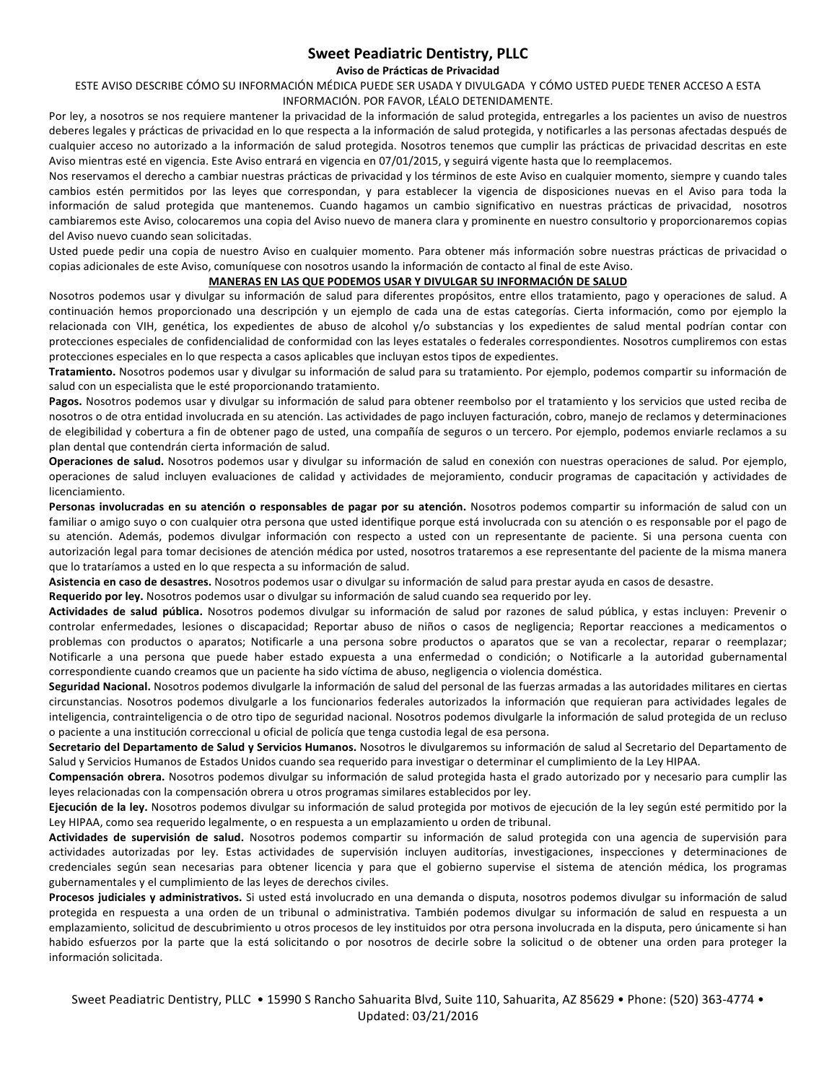#### **Aviso de Prácticas de Privacidad**

### ESTE AVISO DESCRIBE CÓMO SU INFORMACIÓN MÉDICA PUEDE SER USADA Y DIVULGADA Y CÓMO USTED PUEDE TENER ACCESO A ESTA INFORMACIÓN, POR FAVOR, LÉALO DETENIDAMENTE.

Por ley, a nosotros se nos requiere mantener la privacidad de la información de salud protegida, entregarles a los pacientes un aviso de nuestros deberes legales y prácticas de privacidad en lo que respecta a la información de salud protegida, y notificarles a las personas afectadas después de cualquier acceso no autorizado a la información de salud protegida. Nosotros tenemos que cumplir las prácticas de privacidad descritas en este Aviso mientras esté en vigencia. Este Aviso entrará en vigencia en 07/01/2015, y seguirá vigente hasta que lo reemplacemos.

Nos reservamos el derecho a cambiar nuestras prácticas de privacidad y los términos de este Aviso en cualquier momento, siempre y cuando tales cambios estén permitidos por las leyes que correspondan, y para establecer la vigencia de disposiciones nuevas en el Aviso para toda la información de salud protegida que mantenemos. Cuando hagamos un cambio significativo en nuestras prácticas de privacidad, nosotros cambiaremos este Aviso, colocaremos una copia del Aviso nuevo de manera clara y prominente en nuestro consultorio y proporcionaremos copias del Aviso nuevo cuando sean solicitadas.

Usted puede pedir una copia de nuestro Aviso en cualquier momento. Para obtener más información sobre nuestras prácticas de privacidad o copias adicionales de este Aviso, comuníquese con nosotros usando la información de contacto al final de este Aviso.

### **MANERAS EN LAS QUE PODEMOS USAR Y DIVULGAR SU INFORMACIÓN DE SALUD**

Nosotros podemos usar y divulgar su información de salud para diferentes propósitos, entre ellos tratamiento, pago y operaciones de salud. A continuación hemos proporcionado una descripción y un ejemplo de cada una de estas categorías. Cierta información, como por ejemplo la relacionada con VIH, genética, los expedientes de abuso de alcohol y/o substancias y los expedientes de salud mental podrían contar con protecciones especiales de confidencialidad de conformidad con las leyes estatales o federales correspondientes. Nosotros cumpliremos con estas protecciones especiales en lo que respecta a casos aplicables que incluyan estos tipos de expedientes.

Tratamiento. Nosotros podemos usar y divulgar su información de salud para su tratamiento. Por ejemplo, podemos compartir su información de salud con un especialista que le esté proporcionando tratamiento.

Pagos. Nosotros podemos usar y divulgar su información de salud para obtener reembolso por el tratamiento y los servicios que usted reciba de nosotros o de otra entidad involucrada en su atención. Las actividades de pago incluyen facturación, cobro, manejo de reclamos y determinaciones de elegibilidad y cobertura a fin de obtener pago de usted, una compañía de seguros o un tercero. Por ejemplo, podemos enviarle reclamos a su plan dental que contendrán cierta información de salud.

**Operaciones de salud.** Nosotros podemos usar y divulgar su información de salud en conexión con nuestras operaciones de salud. Por ejemplo, operaciones de salud incluyen evaluaciones de calidad y actividades de mejoramiento, conducir programas de capacitación y actividades de licenciamiento.

Personas involucradas en su atención o responsables de pagar por su atención. Nosotros podemos compartir su información de salud con un familiar o amigo suyo o con cualquier otra persona que usted identifique porque está involucrada con su atención o es responsable por el pago de su atención. Además, podemos divulgar información con respecto a usted con un representante de paciente. Si una persona cuenta con autorización legal para tomar decisiones de atención médica por usted, nosotros trataremos a ese representante del paciente de la misma manera que lo trataríamos a usted en lo que respecta a su información de salud.

Asistencia en caso de desastres. Nosotros podemos usar o divulgar su información de salud para prestar ayuda en casos de desastre.

Requerido por ley. Nosotros podemos usar o divulgar su información de salud cuando sea requerido por ley.

Actividades de salud pública. Nosotros podemos divulgar su información de salud por razones de salud pública, y estas incluyen: Prevenir o controlar enfermedades, lesiones o discapacidad; Reportar abuso de niños o casos de negligencia; Reportar reacciones a medicamentos o problemas con productos o aparatos; Notificarle a una persona sobre productos o aparatos que se van a recolectar, reparar o reemplazar; Notificarle a una persona que puede haber estado expuesta a una enfermedad o condición; o Notificarle a la autoridad gubernamental correspondiente cuando creamos que un paciente ha sido víctima de abuso, negligencia o violencia doméstica.

Seguridad Nacional. Nosotros podemos divulgarle la información de salud del personal de las fuerzas armadas a las autoridades militares en ciertas circunstancias. Nosotros podemos divulgarle a los funcionarios federales autorizados la información que requieran para actividades legales de inteligencia, contrainteligencia o de otro tipo de seguridad nacional. Nosotros podemos divulgarle la información de salud protegida de un recluso o paciente a una institución correccional u oficial de policía que tenga custodia legal de esa persona.

Secretario del Departamento de Salud y Servicios Humanos. Nosotros le divulgaremos su información de salud al Secretario del Departamento de Salud y Servicios Humanos de Estados Unidos cuando sea requerido para investigar o determinar el cumplimiento de la Ley HIPAA.

Compensación obrera. Nosotros podemos divulgar su información de salud protegida hasta el grado autorizado por y necesario para cumplir las leyes relacionadas con la compensación obrera u otros programas similares establecidos por ley.

Ejecución de la ley. Nosotros podemos divulgar su información de salud protegida por motivos de ejecución de la ley según esté permitido por la Ley HIPAA, como sea requerido legalmente, o en respuesta a un emplazamiento u orden de tribunal.

Actividades de supervisión de salud. Nosotros podemos compartir su información de salud protegida con una agencia de supervisión para actividades autorizadas por ley. Estas actividades de supervisión incluyen auditorías, investigaciones, inspecciones y determinaciones de credenciales según sean necesarias para obtener licencia y para que el gobierno supervise el sistema de atención médica, los programas gubernamentales y el cumplimiento de las leyes de derechos civiles.

Procesos judiciales y administrativos. Si usted está involucrado en una demanda o disputa, nosotros podemos divulgar su información de salud protegida en respuesta a una orden de un tribunal o administrativa. También podemos divulgar su información de salud en respuesta a un emplazamiento, solicitud de descubrimiento u otros procesos de ley instituidos por otra persona involucrada en la disputa, pero únicamente si han habido esfuerzos por la parte que la está solicitando o por nosotros de decirle sobre la solicitud o de obtener una orden para proteger la información solicitada.